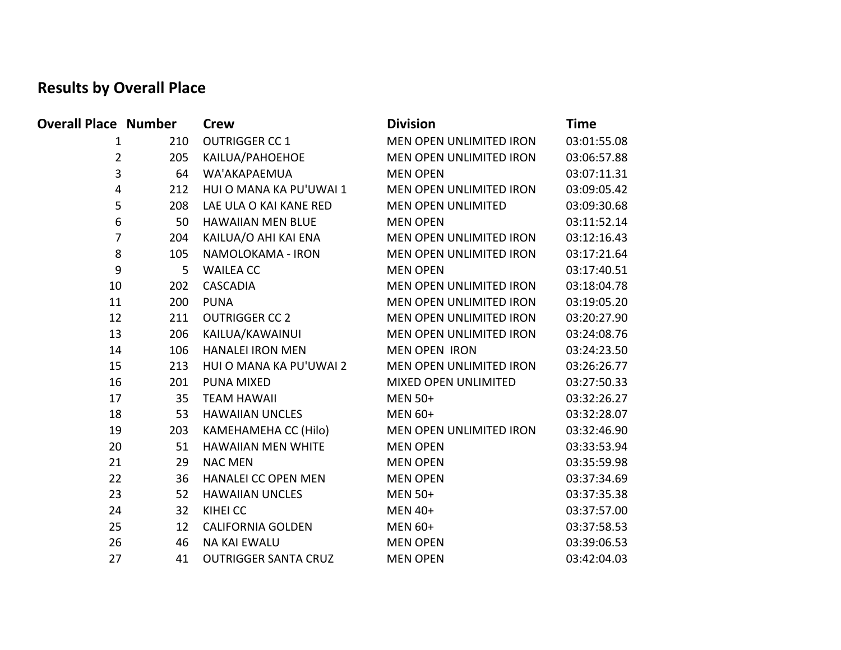## **Results by Overall Place**

| <b>Overall Place Number</b> |     | <b>Crew</b>                 | <b>Division</b>           | <b>Time</b> |
|-----------------------------|-----|-----------------------------|---------------------------|-------------|
| 1                           | 210 | <b>OUTRIGGER CC 1</b>       | MEN OPEN UNLIMITED IRON   | 03:01:55.08 |
| $\overline{2}$              | 205 | KAILUA/PAHOEHOE             | MEN OPEN UNLIMITED IRON   | 03:06:57.88 |
| 3                           | 64  | WA'AKAPAEMUA                | <b>MEN OPEN</b>           | 03:07:11.31 |
| 4                           | 212 | HUI O MANA KA PU'UWAI 1     | MEN OPEN UNLIMITED IRON   | 03:09:05.42 |
| 5                           | 208 | LAE ULA O KAI KANE RED      | <b>MEN OPEN UNLIMITED</b> | 03:09:30.68 |
| 6                           | 50  | <b>HAWAIIAN MEN BLUE</b>    | <b>MEN OPEN</b>           | 03:11:52.14 |
| $\overline{7}$              | 204 | KAILUA/O AHI KAI ENA        | MEN OPEN UNLIMITED IRON   | 03:12:16.43 |
| 8                           | 105 | NAMOLOKAMA - IRON           | MEN OPEN UNLIMITED IRON   | 03:17:21.64 |
| 9                           | 5   | <b>WAILEA CC</b>            | <b>MEN OPEN</b>           | 03:17:40.51 |
| 10                          | 202 | <b>CASCADIA</b>             | MEN OPEN UNLIMITED IRON   | 03:18:04.78 |
| 11                          | 200 | <b>PUNA</b>                 | MEN OPEN UNLIMITED IRON   | 03:19:05.20 |
| 12                          | 211 | <b>OUTRIGGER CC 2</b>       | MEN OPEN UNLIMITED IRON   | 03:20:27.90 |
| 13                          | 206 | KAILUA/KAWAINUI             | MEN OPEN UNLIMITED IRON   | 03:24:08.76 |
| 14                          | 106 | <b>HANALEI IRON MEN</b>     | <b>MEN OPEN IRON</b>      | 03:24:23.50 |
| 15                          | 213 | HUI O MANA KA PU'UWAI 2     | MEN OPEN UNLIMITED IRON   | 03:26:26.77 |
| 16                          | 201 | PUNA MIXED                  | MIXED OPEN UNLIMITED      | 03:27:50.33 |
| 17                          | 35  | <b>TEAM HAWAII</b>          | <b>MEN 50+</b>            | 03:32:26.27 |
| 18                          | 53  | <b>HAWAIIAN UNCLES</b>      | MEN 60+                   | 03:32:28.07 |
| 19                          | 203 | KAMEHAMEHA CC (Hilo)        | MEN OPEN UNLIMITED IRON   | 03:32:46.90 |
| 20                          | 51  | <b>HAWAIIAN MEN WHITE</b>   | <b>MEN OPEN</b>           | 03:33:53.94 |
| 21                          | 29  | <b>NAC MEN</b>              | <b>MEN OPEN</b>           | 03:35:59.98 |
| 22                          | 36  | <b>HANALEI CC OPEN MEN</b>  | <b>MEN OPEN</b>           | 03:37:34.69 |
| 23                          | 52  | <b>HAWAIIAN UNCLES</b>      | <b>MEN 50+</b>            | 03:37:35.38 |
| 24                          | 32  | KIHEI CC                    | <b>MEN 40+</b>            | 03:37:57.00 |
| 25                          | 12  | <b>CALIFORNIA GOLDEN</b>    | <b>MEN 60+</b>            | 03:37:58.53 |
| 26                          | 46  | <b>NA KAI EWALU</b>         | <b>MEN OPEN</b>           | 03:39:06.53 |
| 27                          | 41  | <b>OUTRIGGER SANTA CRUZ</b> | <b>MEN OPEN</b>           | 03:42:04.03 |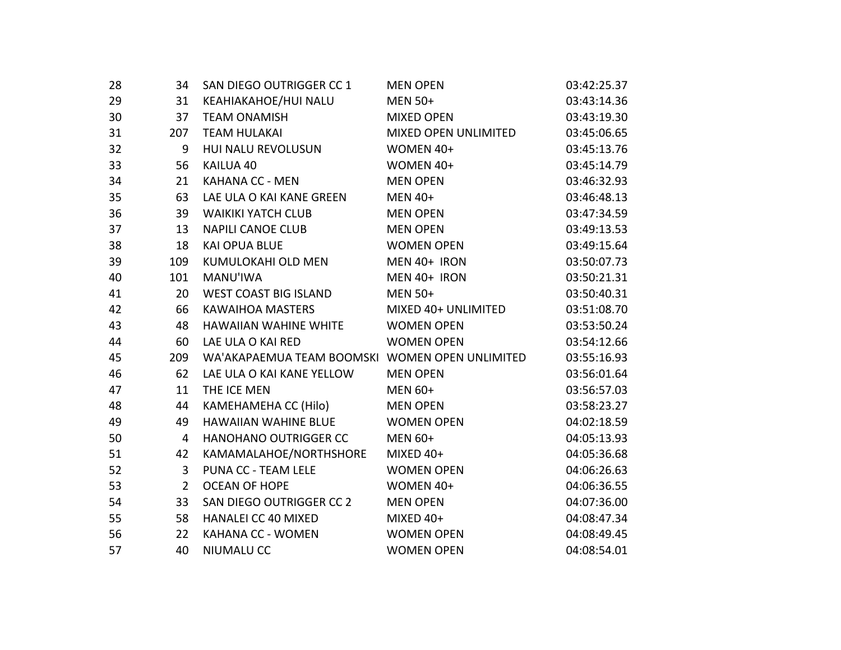| 28 | 34             | SAN DIEGO OUTRIGGER CC 1                       | <b>MEN OPEN</b>      | 03:42:25.37 |
|----|----------------|------------------------------------------------|----------------------|-------------|
| 29 | 31             | KEAHIAKAHOE/HUI NALU                           | <b>MEN 50+</b>       | 03:43:14.36 |
| 30 | 37             | <b>TEAM ONAMISH</b>                            | <b>MIXED OPEN</b>    | 03:43:19.30 |
| 31 | 207            | <b>TEAM HULAKAI</b>                            | MIXED OPEN UNLIMITED | 03:45:06.65 |
| 32 | 9              | HUI NALU REVOLUSUN                             | WOMEN 40+            | 03:45:13.76 |
| 33 | 56             | KAILUA 40                                      | WOMEN 40+            | 03:45:14.79 |
| 34 | 21             | KAHANA CC - MEN                                | <b>MEN OPEN</b>      | 03:46:32.93 |
| 35 | 63             | LAE ULA O KAI KANE GREEN                       | <b>MEN 40+</b>       | 03:46:48.13 |
| 36 | 39             | <b>WAIKIKI YATCH CLUB</b>                      | <b>MEN OPEN</b>      | 03:47:34.59 |
| 37 | 13             | <b>NAPILI CANOE CLUB</b>                       | <b>MEN OPEN</b>      | 03:49:13.53 |
| 38 | 18             | <b>KAI OPUA BLUE</b>                           | <b>WOMEN OPEN</b>    | 03:49:15.64 |
| 39 | 109            | KUMULOKAHI OLD MEN                             | MEN 40+ IRON         | 03:50:07.73 |
| 40 | 101            | MANU'IWA                                       | MEN 40+ IRON         | 03:50:21.31 |
| 41 | 20             | WEST COAST BIG ISLAND                          | <b>MEN 50+</b>       | 03:50:40.31 |
| 42 | 66             | KAWAIHOA MASTERS                               | MIXED 40+ UNLIMITED  | 03:51:08.70 |
| 43 | 48             | HAWAIIAN WAHINE WHITE                          | <b>WOMEN OPEN</b>    | 03:53:50.24 |
| 44 | 60             | LAE ULA O KAI RED                              | <b>WOMEN OPEN</b>    | 03:54:12.66 |
| 45 | 209            | WA'AKAPAEMUA TEAM BOOMSKI WOMEN OPEN UNLIMITED |                      | 03:55:16.93 |
| 46 | 62             | LAE ULA O KAI KANE YELLOW                      | <b>MEN OPEN</b>      | 03:56:01.64 |
| 47 | 11             | THE ICE MEN                                    | MEN 60+              | 03:56:57.03 |
| 48 | 44             | KAMEHAMEHA CC (Hilo)                           | <b>MEN OPEN</b>      | 03:58:23.27 |
| 49 | 49             | <b>HAWAIIAN WAHINE BLUE</b>                    | <b>WOMEN OPEN</b>    | 04:02:18.59 |
| 50 | $\overline{4}$ | HANOHANO OUTRIGGER CC                          | MEN 60+              | 04:05:13.93 |
| 51 | 42             | KAMAMALAHOE/NORTHSHORE                         | MIXED 40+            | 04:05:36.68 |
| 52 | 3              | PUNA CC - TEAM LELE                            | <b>WOMEN OPEN</b>    | 04:06:26.63 |
| 53 | $2^{\circ}$    | <b>OCEAN OF HOPE</b>                           | WOMEN 40+            | 04:06:36.55 |
| 54 | 33             | SAN DIEGO OUTRIGGER CC 2                       | <b>MEN OPEN</b>      | 04:07:36.00 |
| 55 | 58             | <b>HANALEI CC 40 MIXED</b>                     | MIXED 40+            | 04:08:47.34 |
| 56 | 22             | KAHANA CC - WOMEN                              | <b>WOMEN OPEN</b>    | 04:08:49.45 |
| 57 | 40             | NIUMALU CC                                     | <b>WOMEN OPEN</b>    | 04:08:54.01 |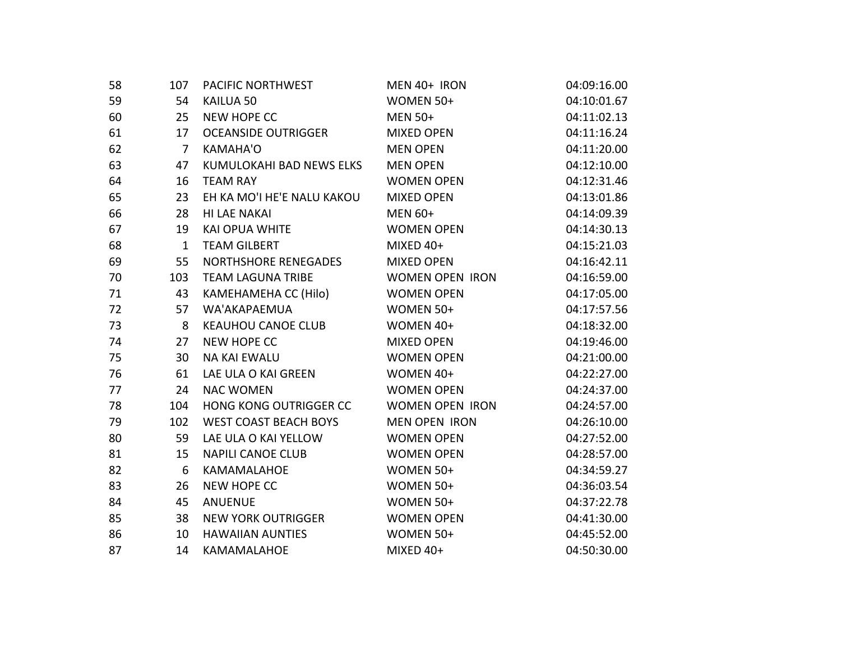| 58 | 107            | PACIFIC NORTHWEST            | MEN 40+ IRON           | 04:09:16.00 |
|----|----------------|------------------------------|------------------------|-------------|
| 59 | 54             | KAILUA 50                    | WOMEN 50+              | 04:10:01.67 |
| 60 | 25             | <b>NEW HOPE CC</b>           | <b>MEN 50+</b>         | 04:11:02.13 |
| 61 | 17             | <b>OCEANSIDE OUTRIGGER</b>   | <b>MIXED OPEN</b>      | 04:11:16.24 |
| 62 | $\overline{7}$ | KAMAHA'O                     | <b>MEN OPEN</b>        | 04:11:20.00 |
| 63 | 47             | KUMULOKAHI BAD NEWS ELKS     | <b>MEN OPEN</b>        | 04:12:10.00 |
| 64 | 16             | <b>TEAM RAY</b>              | <b>WOMEN OPEN</b>      | 04:12:31.46 |
| 65 | 23             | EH KA MO'I HE'E NALU KAKOU   | <b>MIXED OPEN</b>      | 04:13:01.86 |
| 66 | 28             | HI LAE NAKAI                 | <b>MEN 60+</b>         | 04:14:09.39 |
| 67 | 19             | KAI OPUA WHITE               | <b>WOMEN OPEN</b>      | 04:14:30.13 |
| 68 | $\mathbf{1}$   | <b>TEAM GILBERT</b>          | MIXED 40+              | 04:15:21.03 |
| 69 | 55             | NORTHSHORE RENEGADES         | <b>MIXED OPEN</b>      | 04:16:42.11 |
| 70 | 103            | <b>TEAM LAGUNA TRIBE</b>     | <b>WOMEN OPEN IRON</b> | 04:16:59.00 |
| 71 | 43             | KAMEHAMEHA CC (Hilo)         | <b>WOMEN OPEN</b>      | 04:17:05.00 |
| 72 | 57             | WA'AKAPAEMUA                 | WOMEN 50+              | 04:17:57.56 |
| 73 | 8              | <b>KEAUHOU CANOE CLUB</b>    | WOMEN 40+              | 04:18:32.00 |
| 74 | 27             | <b>NEW HOPE CC</b>           | <b>MIXED OPEN</b>      | 04:19:46.00 |
| 75 | 30             | NA KAI EWALU                 | <b>WOMEN OPEN</b>      | 04:21:00.00 |
| 76 | 61             | LAE ULA O KAI GREEN          | WOMEN 40+              | 04:22:27.00 |
| 77 | 24             | <b>NAC WOMEN</b>             | <b>WOMEN OPEN</b>      | 04:24:37.00 |
| 78 | 104            | HONG KONG OUTRIGGER CC       | <b>WOMEN OPEN IRON</b> | 04:24:57.00 |
| 79 | 102            | <b>WEST COAST BEACH BOYS</b> | <b>MEN OPEN IRON</b>   | 04:26:10.00 |
| 80 | 59             | LAE ULA O KAI YELLOW         | <b>WOMEN OPEN</b>      | 04:27:52.00 |
| 81 | 15             | <b>NAPILI CANOE CLUB</b>     | <b>WOMEN OPEN</b>      | 04:28:57.00 |
| 82 | 6              | KAMAMALAHOE                  | WOMEN 50+              | 04:34:59.27 |
| 83 | 26             | <b>NEW HOPE CC</b>           | WOMEN 50+              | 04:36:03.54 |
| 84 | 45             | <b>ANUENUE</b>               | WOMEN 50+              | 04:37:22.78 |
| 85 | 38             | <b>NEW YORK OUTRIGGER</b>    | <b>WOMEN OPEN</b>      | 04:41:30.00 |
| 86 | 10             | <b>HAWAIIAN AUNTIES</b>      | WOMEN 50+              | 04:45:52.00 |
| 87 | 14             | KAMAMALAHOE                  | MIXED 40+              | 04:50:30.00 |